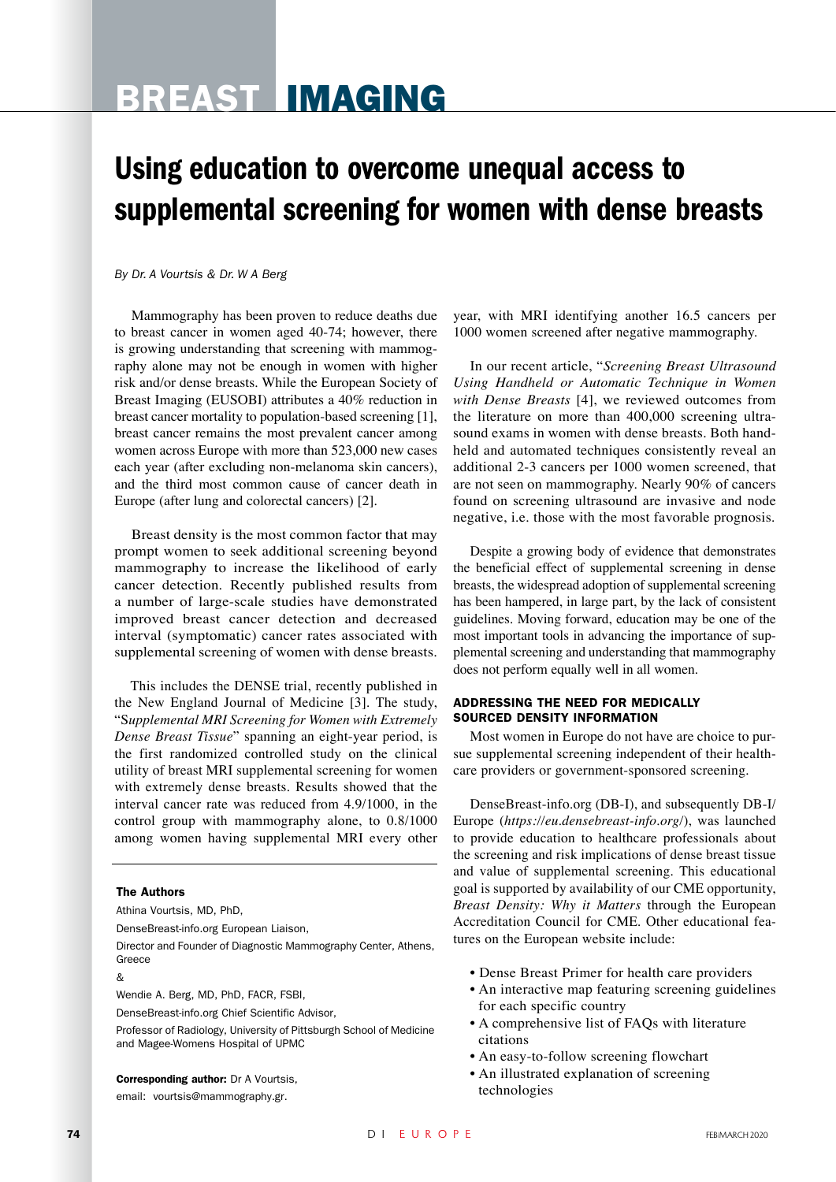# Breast Imaging

## Using education to overcome unequal access to supplemental screening for women with dense breasts

#### *By Dr. A Vourtsis & Dr. W A Berg*

Mammography has been proven to reduce deaths due to breast cancer in women aged 40-74; however, there is growing understanding that screening with mammography alone may not be enough in women with higher risk and/or dense breasts. While the European Society of Breast Imaging (EUSOBI) attributes a 40% reduction in breast cancer mortality to population-based screening [1], breast cancer remains the most prevalent cancer among women across Europe with more than 523,000 new cases each year (after excluding non-melanoma skin cancers), and the third most common cause of cancer death in Europe (after lung and colorectal cancers) [2].

Breast density is the most common factor that may prompt women to seek additional screening beyond mammography to increase the likelihood of early cancer detection. Recently published results from a number of large-scale studies have demonstrated improved breast cancer detection and decreased interval (symptomatic) cancer rates associated with supplemental screening of women with dense breasts.

This includes the DENSE trial, recently published in the New England Journal of Medicine [3]. The study, "S*upplemental MRI Screening for Women with Extremely Dense Breast Tissue*" spanning an eight-year period, is the first randomized controlled study on the clinical utility of breast MRI supplemental screening for women with extremely dense breasts. Results showed that the interval cancer rate was reduced from 4.9/1000, in the control group with mammography alone, to 0.8/1000 among women having supplemental MRI every other

#### The Authors

Athina Vourtsis, MD, PhD,

DenseBreast-info.org European Liaison,

Director and Founder of Diagnostic Mammography Center, Athens, Greece

&

Wendie A. Berg, MD, PhD, FACR, FSBI,

DenseBreast-info.org Chief Scientific Advisor,

Professor of Radiology, University of Pittsburgh School of Medicine and Magee-Womens Hospital of UPMC

Corresponding author: Dr A Vourtsis,

email: vourtsis@mammography.gr.

year, with MRI identifying another 16.5 cancers per 1000 women screened after negative mammography.

In our recent article, "*Screening Breast Ultrasound Using Handheld or Automatic Technique in Women with Dense Breasts* [4], we reviewed outcomes from the literature on more than 400,000 screening ultrasound exams in women with dense breasts. Both handheld and automated techniques consistently reveal an additional 2-3 cancers per 1000 women screened, that are not seen on mammography. Nearly 90% of cancers found on screening ultrasound are invasive and node negative, i.e. those with the most favorable prognosis.

Despite a growing body of evidence that demonstrates the beneficial effect of supplemental screening in dense breasts, the widespread adoption of supplemental screening has been hampered, in large part, by the lack of consistent guidelines. Moving forward, education may be one of the most important tools in advancing the importance of supplemental screening and understanding that mammography does not perform equally well in all women.

#### Addressing the Need for Medically Sourced Density Information

Most women in Europe do not have are choice to pursue supplemental screening independent of their healthcare providers or government-sponsored screening.

DenseBreast-info.org (DB-I), and subsequently DB-I/ Europe (*https://eu.densebreast-info.org/*), was launched to provide education to healthcare professionals about the screening and risk implications of dense breast tissue and value of supplemental screening. This educational goal is supported by availability of our CME opportunity, *Breast Density: Why it Matters* through the European Accreditation Council for CME. Other educational features on the European website include:

- Dense Breast Primer for health care providers
- An interactive map featuring screening guidelines for each specific country
- A comprehensive list of FAQs with literature citations
- An easy-to-follow screening flowchart
- An illustrated explanation of screening technologies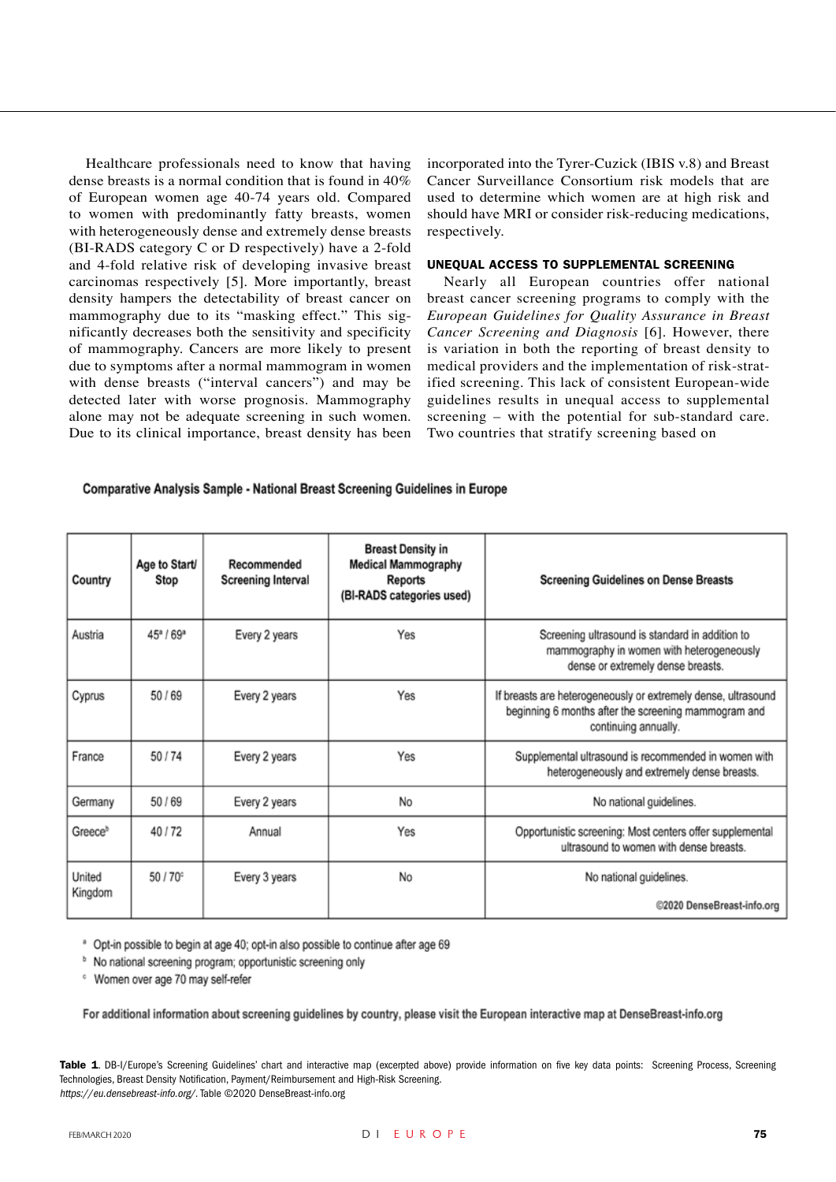Healthcare professionals need to know that having dense breasts is a normal condition that is found in 40% of European women age 40-74 years old. Compared to women with predominantly fatty breasts, women with heterogeneously dense and extremely dense breasts (BI-RADS category C or D respectively) have a 2-fold and 4-fold relative risk of developing invasive breast carcinomas respectively [5]. More importantly, breast density hampers the detectability of breast cancer on mammography due to its "masking effect." This significantly decreases both the sensitivity and specificity of mammography. Cancers are more likely to present due to symptoms after a normal mammogram in women with dense breasts ("interval cancers") and may be detected later with worse prognosis. Mammography alone may not be adequate screening in such women. Due to its clinical importance, breast density has been incorporated into the Tyrer-Cuzick (IBIS v.8) and Breast Cancer Surveillance Consortium risk models that are used to determine which women are at high risk and should have MRI or consider risk-reducing medications, respectively.

#### UNEQUAL ACCESS TO SUPPLEMENTAL SCREENING

Nearly all European countries offer national breast cancer screening programs to comply with the *European Guidelines for Quality Assurance in Breast Cancer Screening and Diagnosis* [6]. However, there is variation in both the reporting of breast density to medical providers and the implementation of risk-stratified screening. This lack of consistent European-wide guidelines results in unequal access to supplemental screening – with the potential for sub-standard care. Two countries that stratify screening based on

#### Comparative Analysis Sample - National Breast Screening Guidelines in Europe

| Country             | Age to Start/<br>Stop | Recommended<br><b>Screening Interval</b> | <b>Breast Density in</b><br><b>Medical Mammography</b><br>Reports<br>(BI-RADS categories used) | <b>Screening Guidelines on Dense Breasts</b>                                                                                                  |
|---------------------|-----------------------|------------------------------------------|------------------------------------------------------------------------------------------------|-----------------------------------------------------------------------------------------------------------------------------------------------|
| Austria             | $45^a/69^a$           | Every 2 years                            | Yes                                                                                            | Screening ultrasound is standard in addition to<br>mammography in women with heterogeneously<br>dense or extremely dense breasts.             |
| Cyprus              | 50/69                 | Every 2 years                            | Yes                                                                                            | If breasts are heterogeneously or extremely dense, ultrasound<br>beginning 6 months after the screening mammogram and<br>continuing annually. |
| France              | 50/74                 | Every 2 years                            | Yes                                                                                            | Supplemental ultrasound is recommended in women with<br>heterogeneously and extremely dense breasts.                                          |
| Germany             | 50/69                 | Every 2 years                            | No                                                                                             | No national guidelines.                                                                                                                       |
| Greece <sup>b</sup> | 40/72                 | Annual                                   | Yes                                                                                            | Opportunistic screening: Most centers offer supplemental<br>ultrasound to women with dense breasts.                                           |
| United<br>Kingdom   | 50/70 <sup>c</sup>    | Every 3 years                            | No                                                                                             | No national guidelines.<br>@2020 DenseBreast-info.org                                                                                         |

<sup>a</sup> Opt-in possible to begin at age 40; opt-in also possible to continue after age 69

<sup>b</sup> No national screening program; opportunistic screening only

<sup>c</sup> Women over age 70 may self-refer

For additional information about screening guidelines by country, please visit the European interactive map at DenseBreast-info.org

Table 1. DB-I/Europe's Screening Guidelines' chart and interactive map (excerpted above) provide information on five key data points: Screening Process, Screening Technologies, Breast Density Notification, Payment/Reimbursement and High-Risk Screening. https://eu.densebreast-info.org/. Table ©2020 DenseBreast-info.org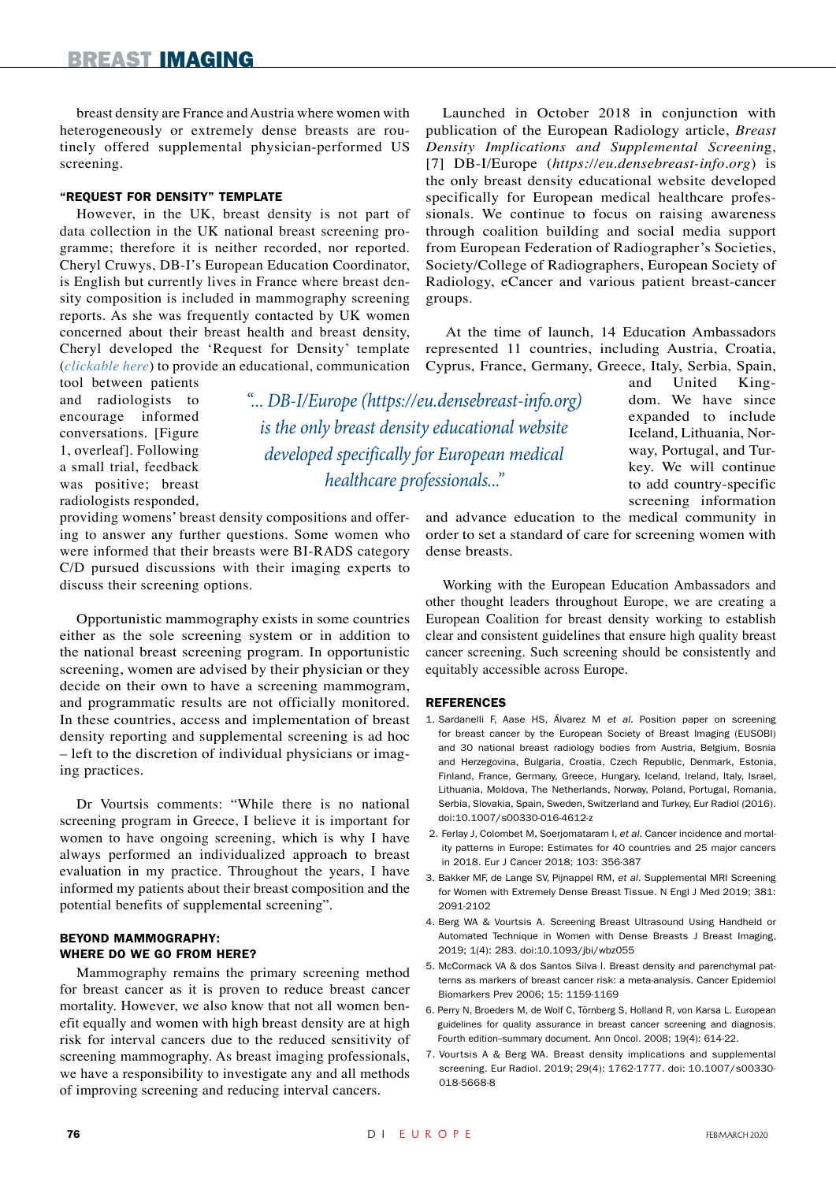breast density are France and Austria where women with heterogeneously or extremely dense breasts are routinely offered supplemental physician-performed US screening.

#### "Request for Density" Template

However, in the UK, breast density is not part of data collection in the UK national breast screening programme; therefore it is neither recorded, nor reported. Cheryl Cruwys, DB-I's European Education Coordinator, is English but currently lives in France where breast density composition is included in mammography screening reports. As she was frequently contacted by UK women concerned about their breast health and breast density, Cheryl developed the 'Request for Density' template (*[clickable here](https://eu.densebreast-info.org/)*) to provide an educational, communication

tool between patients and radiologists to encourage informed conversations. [Figure 1, overleaf]. Following a small trial, feedback was positive; breast radiologists responded,

*"... DB-I/Europe (https://eu.densebreast-info.org) is the only breast density educational website developed specifically for European medical healthcare professionals..."*

providing womens' breast density compositions and offering to answer any further questions. Some women who were informed that their breasts were BI-RADS category C/D pursued discussions with their imaging experts to discuss their screening options.

Opportunistic mammography exists in some countries either as the sole screening system or in addition to the national breast screening program. In opportunistic screening, women are advised by their physician or they decide on their own to have a screening mammogram, and programmatic results are not officially monitored. In these countries, access and implementation of breast density reporting and supplemental screening is ad hoc – left to the discretion of individual physicians or imaging practices.

Dr Vourtsis comments: "While there is no national screening program in Greece, I believe it is important for women to have ongoing screening, which is why I have always performed an individualized approach to breast evaluation in my practice. Throughout the years, I have informed my patients about their breast composition and the potential benefits of supplemental screening".

#### Beyond Mammography: Where do We Go from Here?

Mammography remains the primary screening method for breast cancer as it is proven to reduce breast cancer mortality. However, we also know that not all women benefit equally and women with high breast density are at high risk for interval cancers due to the reduced sensitivity of screening mammography. As breast imaging professionals, we have a responsibility to investigate any and all methods of improving screening and reducing interval cancers.

Launched in October 2018 in conjunction with publication of the European Radiology article, *Breast Density Implications and Supplemental Screenin*g, [7] DB-I/Europe (*https://eu.densebreast-info.org*) is the only breast density educational website developed specifically for European medical healthcare professionals. We continue to focus on raising awareness through coalition building and social media support from European Federation of Radiographer's Societies, Society/College of Radiographers, European Society of Radiology, eCancer and various patient breast-cancer groups.

At the time of launch, 14 Education Ambassadors represented 11 countries, including Austria, Croatia, Cyprus, France, Germany, Greece, Italy, Serbia, Spain,

and United Kingdom. We have since expanded to include Iceland, Lithuania, Norway, Portugal, and Turkey. We will continue to add country-specific screening information

and advance education to the medical community in order to set a standard of care for screening women with dense breasts.

Working with the European Education Ambassadors and other thought leaders throughout Europe, we are creating a European Coalition for breast density working to establish clear and consistent guidelines that ensure high quality breast cancer screening. Such screening should be consistently and equitably accessible across Europe.

#### **REFERENCES**

- 1. Sardanelli F, Aase HS, Álvarez M et al. Position paper on screening for breast cancer by the European Society of Breast Imaging (EUSOBI) and 30 national breast radiology bodies from Austria, Belgium, Bosnia and Herzegovina, Bulgaria, Croatia, Czech Republic, Denmark, Estonia, Finland, France, Germany, Greece, Hungary, Iceland, Ireland, Italy, Israel, Lithuania, Moldova, The Netherlands, Norway, Poland, Portugal, Romania, Serbia, Slovakia, Spain, Sweden, Switzerland and Turkey, Eur Radiol (2016). doi:10.1007/s00330-016-4612-z
- 2. Ferlay J, Colombet M, Soerjomataram I, et al. Cancer incidence and mortality patterns in Europe: Estimates for 40 countries and 25 major cancers in 2018. Eur J Cancer 2018; 103: 356-387
- 3. Bakker MF, de Lange SV, Pijnappel RM, et al. Supplemental MRI Screening for Women with Extremely Dense Breast Tissue. N Engl J Med 2019; 381: 2091-2102
- 4. Berg WA & Vourtsis A. Screening Breast Ultrasound Using Handheld or Automated Technique in Women with Dense Breasts J Breast Imaging, 2019; 1(4): 283. doi:10.1093/jbi/wbz055
- 5. McCormack VA & dos Santos Silva I. Breast density and parenchymal patterns as markers of breast cancer risk: a meta-analysis. Cancer Epidemiol Biomarkers Prev 2006; 15: 1159-1169
- 6. Perry N, Broeders M, de Wolf C, Törnberg S, Holland R, von Karsa L. European guidelines for quality assurance in breast cancer screening and diagnosis. Fourth edition-summary document. Ann Oncol. 2008; 19(4): 614-22.
- 7. Vourtsis A & Berg WA. Breast density implications and supplemental screening. Eur Radiol. 2019; 29(4): 1762-1777. doi: 10.1007/s00330- 018-5668-8